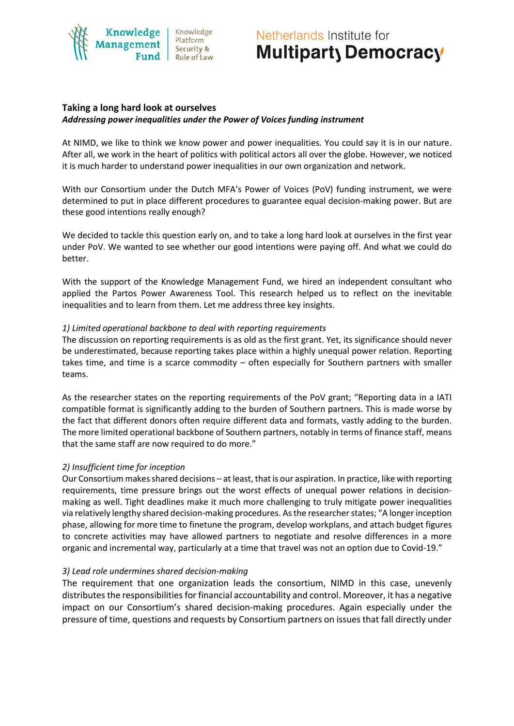#### Knowledge Knowledge Platform Security & Rule of Law

# Netherlands Institute for Multiparty Democracy

# **Taking a long hard look at ourselves** *Addressing power inequalities under the Power of Voices funding instrument*

At NIMD, we like to think we know power and power inequalities. You could say it is in our nature. After all, we work in the heart of politics with political actors all over the globe. However, we noticed it is much harder to understand power inequalities in our own organization and network.

With our Consortium under the Dutch MFA's Power of Voices (PoV) funding instrument, we were determined to put in place different procedures to guarantee equal decision-making power. But are these good intentions really enough?

We decided to tackle this question early on, and to take a long hard look at ourselves in the first year under PoV. We wanted to see whether our good intentions were paying off. And what we could do better.

With the support of the Knowledge Management Fund, we hired an independent consultant who applied the Partos Power Awareness Tool. This research helped us to reflect on the inevitable inequalities and to learn from them. Let me address three key insights.

### *1) Limited operational backbone to deal with reporting requirements*

The discussion on reporting requirements is as old as the first grant. Yet, its significance should never be underestimated, because reporting takes place within a highly unequal power relation. Reporting takes time, and time is a scarce commodity – often especially for Southern partners with smaller teams.

As the researcher states on the reporting requirements of the PoV grant; "Reporting data in a IATI compatible format is significantly adding to the burden of Southern partners. This is made worse by the fact that different donors often require different data and formats, vastly adding to the burden. The more limited operational backbone of Southern partners, notably in terms of finance staff, means that the same staff are now required to do more."

# *2) Insufficient time for inception*

Our Consortium makes shared decisions – at least, that is our aspiration. In practice, like with reporting requirements, time pressure brings out the worst effects of unequal power relations in decisionmaking as well. Tight deadlines make it much more challenging to truly mitigate power inequalities via relatively lengthy shared decision-making procedures. As the researcher states; "A longer inception phase, allowing for more time to finetune the program, develop workplans, and attach budget figures to concrete activities may have allowed partners to negotiate and resolve differences in a more organic and incremental way, particularly at a time that travel was not an option due to Covid-19."

# *3) Lead role undermines shared decision-making*

The requirement that one organization leads the consortium, NIMD in this case, unevenly distributes the responsibilities for financial accountability and control. Moreover, it has a negative impact on our Consortium's shared decision-making procedures. Again especially under the pressure of time, questions and requests by Consortium partners on issues that fall directly under